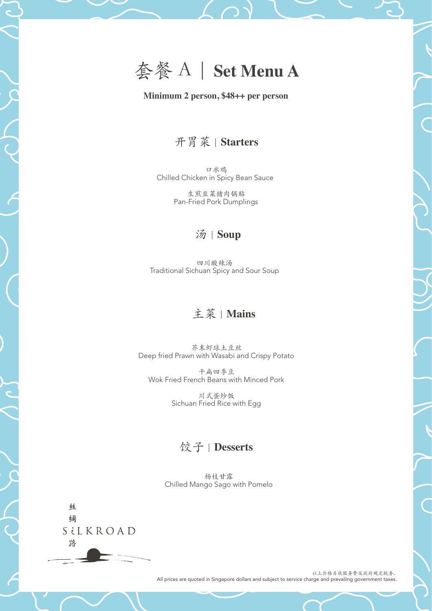

#### **Minimum 2 person, \$48++ per person**

# 开胃菜 | **Starters**

口水鸡 Chilled Chicken in Spicy Bean Sauce

> 生煎韭菜猪肉锅贴 Pan-Fried Pork Dumplings

#### 汤 | **Soup**

四川酸辣汤 Traditional Sichuan Spicy and Sour Soup

## 主菜 | **Mains**

芥末虾球土豆丝 Deep fried Prawn with Wasabi and Crispy Potato

干扁四季豆 Wok Fried French Beans with Minced Pork

> 川式蛋炒饭 Sichuan Fried Rice with Egg

### 饺子 | **Desserts**

杨枝甘露 Chilled Mango Sago with Pomelo

丝 绸 SiLKROAD 路

> 以上价格另收服务费及政府规定税务。 All prices are quoted in Singapore dollars and subject to service charge and prevailing government taxes.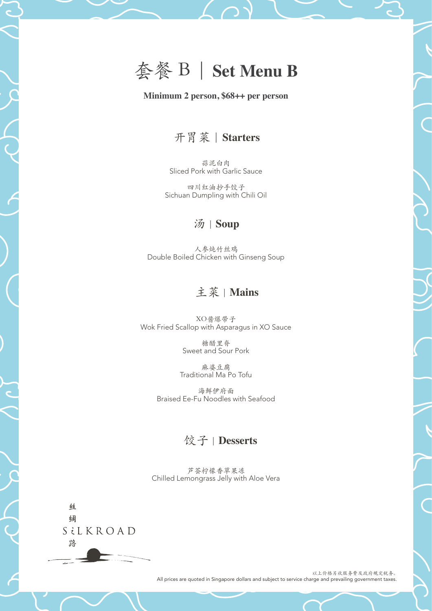

#### **Minimum 2 person, \$68++ per person**

# 开胃菜 | **Starters**

蒜泥白肉 Sliced Pork with Garlic Sauce

四川红油抄手饺子 Sichuan Dumpling with Chili Oil

### 汤 | **Soup**

人参炖竹丝鸡 Double Boiled Chicken with Ginseng Soup

## 主菜 | **Mains**

XO酱爆带子 Wok Fried Scallop with Asparagus in XO Sauce

> 糖醋里脊 Sweet and Sour Pork

麻婆豆腐 Traditional Ma Po Tofu

海鲜伊府面 Braised Ee-Fu Noodles with Seafood

### 饺子 | **Desserts**

芦荟柠檬香草果冻 Chilled Lemongrass Jelly with Aloe Vera



以上价格另收服务费及政府规定税务。 All prices are quoted in Singapore dollars and subject to service charge and prevailing government taxes.